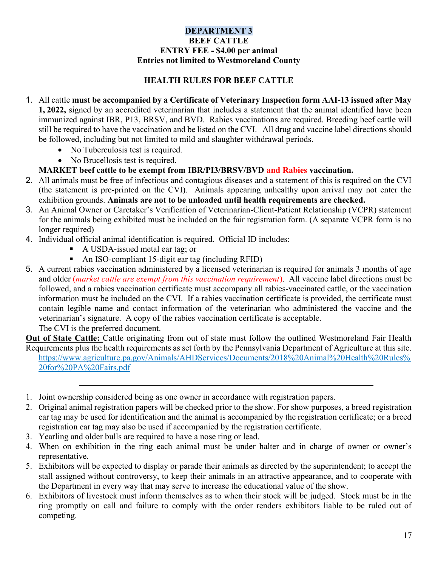## DEPARTMENT 3 BEEF CATTLE ENTRY FEE - \$4.00 per animal Entries not limited to Westmoreland County

## HEALTH RULES FOR BEEF CATTLE

- 1. All cattle must be accompanied by a Certificate of Veterinary Inspection form AAI-13 issued after May 1, 2022, signed by an accredited veterinarian that includes a statement that the animal identified have been immunized against IBR, P13, BRSV, and BVD. Rabies vaccinations are required. Breeding beef cattle will still be required to have the vaccination and be listed on the CVI. All drug and vaccine label directions should be followed, including but not limited to mild and slaughter withdrawal periods.
	- No Tuberculosis test is required.
	- No Brucellosis test is required.
	- MARKET beef cattle to be exempt from IBR/PI3/BRSV/BVD and Rabies vaccination.
- 2. All animals must be free of infectious and contagious diseases and a statement of this is required on the CVI (the statement is pre-printed on the CVI). Animals appearing unhealthy upon arrival may not enter the exhibition grounds. Animals are not to be unloaded until health requirements are checked.
- 3. An Animal Owner or Caretaker's Verification of Veterinarian-Client-Patient Relationship (VCPR) statement for the animals being exhibited must be included on the fair registration form. (A separate VCPR form is no longer required)
- 4. Individual official animal identification is required. Official ID includes:
	- A USDA-issued metal ear tag; or
	- An ISO-compliant 15-digit ear tag (including RFID)
- 5. A current rabies vaccination administered by a licensed veterinarian is required for animals 3 months of age and older (*market cattle are exempt from this vaccination requirement*). All vaccine label directions must be followed, and a rabies vaccination certificate must accompany all rabies-vaccinated cattle, or the vaccination information must be included on the CVI. If a rabies vaccination certificate is provided, the certificate must contain legible name and contact information of the veterinarian who administered the vaccine and the veterinarian's signature. A copy of the rabies vaccination certificate is acceptable. The CVI is the preferred document.

Out of State Cattle: Cattle originating from out of state must follow the outlined Westmoreland Fair Health Requirements plus the health requirements as set forth by the Pennsylvania Department of Agriculture at this site. https://www.agriculture.pa.gov/Animals/AHDServices/Documents/2018%20Animal%20Health%20Rules% 20for%20PA%20Fairs.pdf

- 1. Joint ownership considered being as one owner in accordance with registration papers.
- 2. Original animal registration papers will be checked prior to the show. For show purposes, a breed registration ear tag may be used for identification and the animal is accompanied by the registration certificate; or a breed registration ear tag may also be used if accompanied by the registration certificate.
- 3. Yearling and older bulls are required to have a nose ring or lead.
- 4. When on exhibition in the ring each animal must be under halter and in charge of owner or owner's representative.
- 5. Exhibitors will be expected to display or parade their animals as directed by the superintendent; to accept the stall assigned without controversy, to keep their animals in an attractive appearance, and to cooperate with the Department in every way that may serve to increase the educational value of the show.
- 6. Exhibitors of livestock must inform themselves as to when their stock will be judged. Stock must be in the ring promptly on call and failure to comply with the order renders exhibitors liable to be ruled out of competing.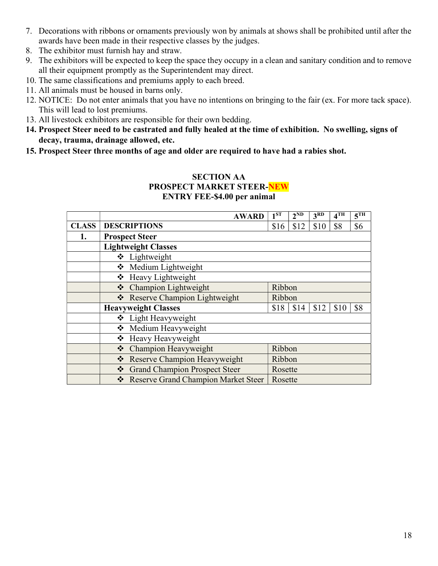- 7. Decorations with ribbons or ornaments previously won by animals at shows shall be prohibited until after the awards have been made in their respective classes by the judges.
- 8. The exhibitor must furnish hay and straw.
- 9. The exhibitors will be expected to keep the space they occupy in a clean and sanitary condition and to remove all their equipment promptly as the Superintendent may direct.
- 10. The same classifications and premiums apply to each breed.
- 11. All animals must be housed in barns only.
- 12. NOTICE: Do not enter animals that you have no intentions on bringing to the fair (ex. For more tack space). This will lead to lost premiums.
- 13. All livestock exhibitors are responsible for their own bedding.
- 14. Prospect Steer need to be castrated and fully healed at the time of exhibition. No swelling, signs of decay, trauma, drainage allowed, etc.
- 15. Prospect Steer three months of age and older are required to have had a rabies shot.

## SECTION AA PROSPECT MARKET STEER-NEW ENTRY FEE-\$4.00 per animal

|              |                            | <b>AWARD</b>                          | 1 <sup>ST</sup> | $2^{ND}$ | 3 <sup>RD</sup> | 4 <sup>TH</sup> | 5 <sup>TH</sup> |  |  |  |
|--------------|----------------------------|---------------------------------------|-----------------|----------|-----------------|-----------------|-----------------|--|--|--|
| <b>CLASS</b> | <b>DESCRIPTIONS</b>        |                                       | \$16            | \$12     | \$10            | \$8             | \$6             |  |  |  |
| 1.           |                            | <b>Prospect Steer</b>                 |                 |          |                 |                 |                 |  |  |  |
|              | <b>Lightweight Classes</b> |                                       |                 |          |                 |                 |                 |  |  |  |
|              |                            | ❖ Lightweight                         |                 |          |                 |                 |                 |  |  |  |
|              |                            | Medium Lightweight                    |                 |          |                 |                 |                 |  |  |  |
|              |                            | ❖ Heavy Lightweight                   |                 |          |                 |                 |                 |  |  |  |
|              |                            | ❖ Champion Lightweight                | Ribbon          |          |                 |                 |                 |  |  |  |
|              |                            | ❖ Reserve Champion Lightweight        | Ribbon          |          |                 |                 |                 |  |  |  |
|              | <b>Heavyweight Classes</b> |                                       | \$18            | \$14     | \$12            | \$10            | \$8             |  |  |  |
|              |                            | ❖ Light Heavyweight                   |                 |          |                 |                 |                 |  |  |  |
|              |                            | ❖ Medium Heavyweight                  |                 |          |                 |                 |                 |  |  |  |
|              |                            | ❖ Heavy Heavyweight                   |                 |          |                 |                 |                 |  |  |  |
|              |                            | ❖ Champion Heavyweight                | Ribbon          |          |                 |                 |                 |  |  |  |
|              |                            | ❖ Reserve Champion Heavyweight        |                 | Ribbon   |                 |                 |                 |  |  |  |
|              |                            | Grand Champion Prospect Steer         | Rosette         |          |                 |                 |                 |  |  |  |
|              |                            | ❖ Reserve Grand Champion Market Steer | Rosette         |          |                 |                 |                 |  |  |  |